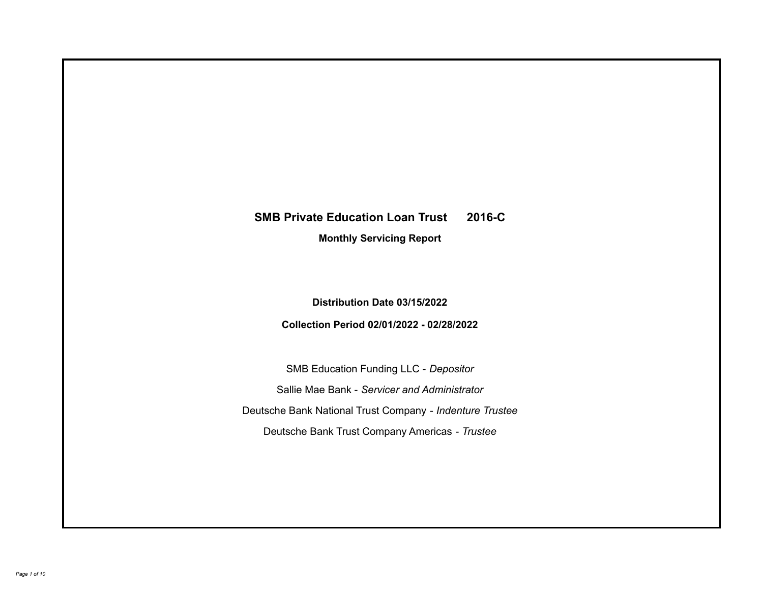# **SMB Private Education Loan Trust 2016-C**

**Monthly Servicing Report**

**Distribution Date 03/15/2022**

**Collection Period 02/01/2022 - 02/28/2022**

SMB Education Funding LLC - *Depositor* Sallie Mae Bank - *Servicer and Administrator* Deutsche Bank National Trust Company - *Indenture Trustee* Deutsche Bank Trust Company Americas - *Trustee*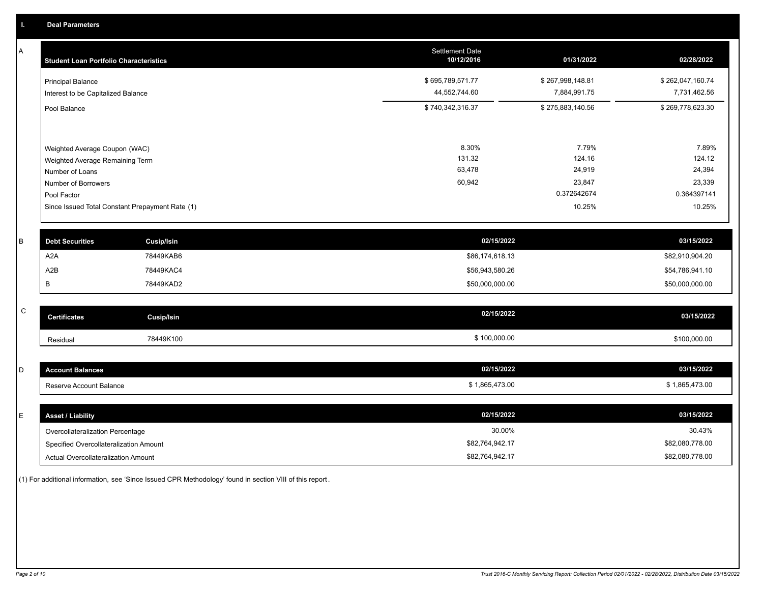A

| <b>Student Loan Portfolio Characteristics</b>   | <b>Settlement Date</b><br>10/12/2016 | 01/31/2022       | 02/28/2022       |
|-------------------------------------------------|--------------------------------------|------------------|------------------|
| <b>Principal Balance</b>                        | \$695,789,571.77                     | \$267,998,148.81 | \$262,047,160.74 |
| Interest to be Capitalized Balance              | 44,552,744.60                        | 7,884,991.75     | 7,731,462.56     |
| Pool Balance                                    | \$740,342,316.37                     | \$275,883,140.56 | \$269,778,623.30 |
|                                                 |                                      |                  |                  |
| Weighted Average Coupon (WAC)                   | 8.30%                                | 7.79%            | 7.89%            |
| Weighted Average Remaining Term                 | 131.32                               | 124.16           | 124.12           |
| Number of Loans                                 | 63,478                               | 24,919           | 24,394           |
| Number of Borrowers                             | 60,942                               | 23,847           | 23,339           |
| Pool Factor                                     |                                      | 0.372642674      | 0.364397141      |
| Since Issued Total Constant Prepayment Rate (1) |                                      | 10.25%           | 10.25%           |
| <b>Cusip/Isin</b><br><b>Debt Securities</b>     | 02/15/2022                           |                  | 03/15/2022       |

| <b>Debt Securities</b> | Cusip/Isin | 02/15/2022      | 03/15/2022      |
|------------------------|------------|-----------------|-----------------|
| A2A                    | 78449KAB6  | \$86,174,618.13 | \$82,910,904.20 |
| A2B                    | 78449KAC4  | \$56,943,580.26 | \$54,786,941.10 |
|                        | 78449KAD2  | \$50,000,000.00 | \$50,000,000.00 |

| $\sim$<br>ັ | <b>Certificates</b> | Cusip/Isin | 02/15/2022 | 03/15/2022   |
|-------------|---------------------|------------|------------|--------------|
|             | Residual            | 78449K100  | 100,000.00 | \$100.000.00 |

| -<br>⊷ | <b>Account Balances</b> | 02/15/2022     | 03/15/2022     |
|--------|-------------------------|----------------|----------------|
|        | Reserve Account Balance | \$1,865,473.00 | \$1,865,473.00 |

| <b>Asset / Liability</b>               | 02/15/2022      | 03/15/2022      |
|----------------------------------------|-----------------|-----------------|
| Overcollateralization Percentage       | 30.00%          | 30.43%          |
| Specified Overcollateralization Amount | \$82,764,942.17 | \$82,080,778.00 |
| Actual Overcollateralization Amount    | \$82,764,942.17 | \$82,080,778.00 |

(1) For additional information, see 'Since Issued CPR Methodology' found in section VIII of this report .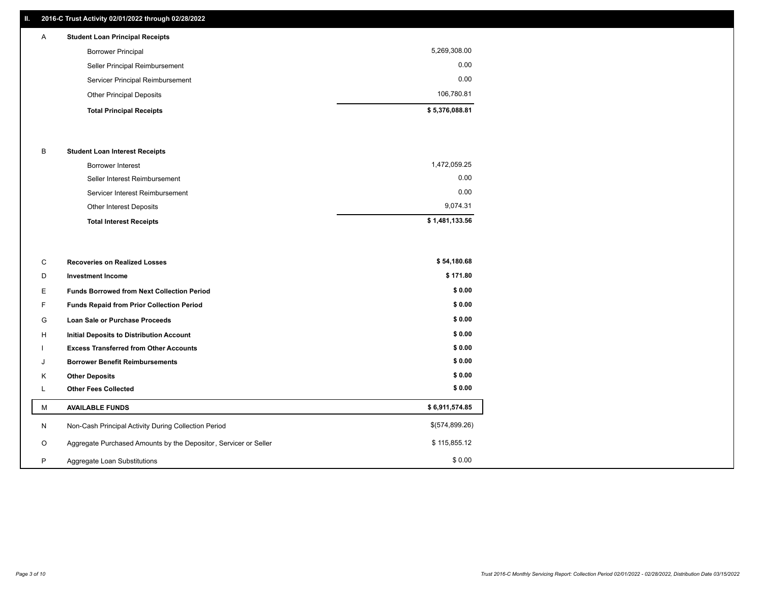# **II. 2016-C Trust Activity 02/01/2022 through 02/28/2022**

| $\mathsf{A}$ | <b>Student Loan Principal Receipts</b> |                |
|--------------|----------------------------------------|----------------|
|              | <b>Borrower Principal</b>              | 5,269,308.00   |
|              | Seller Principal Reimbursement         | 0.00           |
|              | Servicer Principal Reimbursement       | 0.00           |
|              | <b>Other Principal Deposits</b>        | 106,780.81     |
|              | <b>Total Principal Receipts</b>        | \$5,376,088.81 |

### B **Student Loan Interest Receipts**

| <b>Total Interest Receipts</b>  | \$1,481,133.56 |
|---------------------------------|----------------|
| <b>Other Interest Deposits</b>  | 9.074.31       |
| Servicer Interest Reimbursement | 0.00           |
| Seller Interest Reimbursement   | 0.00           |
| Borrower Interest               | 1,472,059.25   |

| С       | <b>Recoveries on Realized Losses</b>                             | \$54,180.68    |
|---------|------------------------------------------------------------------|----------------|
| D       | <b>Investment Income</b>                                         | \$171.80       |
| E.      | <b>Funds Borrowed from Next Collection Period</b>                | \$0.00         |
|         | <b>Funds Repaid from Prior Collection Period</b>                 | \$0.00         |
| G       | Loan Sale or Purchase Proceeds                                   | \$0.00         |
| H       | Initial Deposits to Distribution Account                         | \$0.00         |
|         | <b>Excess Transferred from Other Accounts</b>                    | \$0.00         |
| J       | <b>Borrower Benefit Reimbursements</b>                           | \$0.00         |
| K       | <b>Other Deposits</b>                                            | \$0.00         |
|         | <b>Other Fees Collected</b>                                      | \$0.00         |
| M       | <b>AVAILABLE FUNDS</b>                                           | \$6,911,574.85 |
| N       | Non-Cash Principal Activity During Collection Period             | \$(574,899.26) |
| $\circ$ | Aggregate Purchased Amounts by the Depositor, Servicer or Seller | \$115,855.12   |
| P       | Aggregate Loan Substitutions                                     | \$0.00         |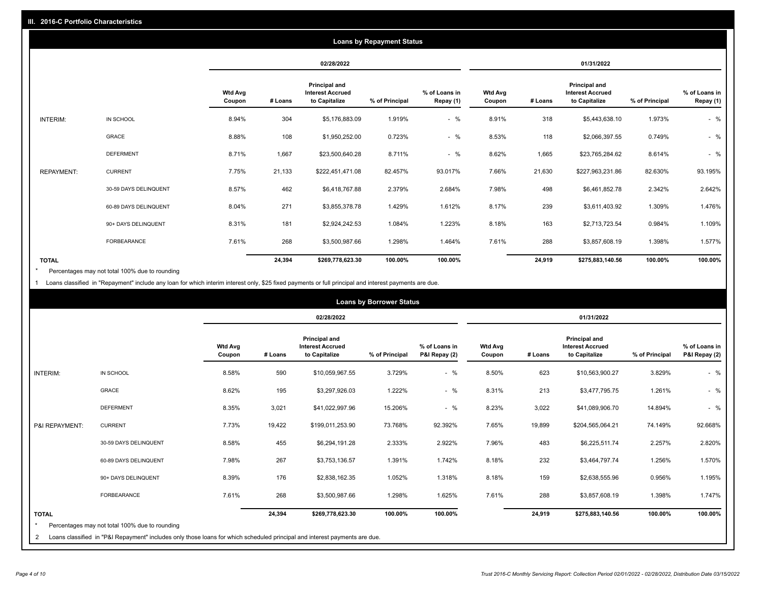| <b>Loans by Repayment Status</b> |                       |                          |         |                                                           |                |                            |                          |         |                                                           |                |                            |
|----------------------------------|-----------------------|--------------------------|---------|-----------------------------------------------------------|----------------|----------------------------|--------------------------|---------|-----------------------------------------------------------|----------------|----------------------------|
|                                  |                       |                          |         | 02/28/2022                                                |                |                            |                          |         | 01/31/2022                                                |                |                            |
|                                  |                       | <b>Wtd Avg</b><br>Coupon | # Loans | Principal and<br><b>Interest Accrued</b><br>to Capitalize | % of Principal | % of Loans in<br>Repay (1) | <b>Wtd Avg</b><br>Coupon | # Loans | Principal and<br><b>Interest Accrued</b><br>to Capitalize | % of Principal | % of Loans in<br>Repay (1) |
| INTERIM:                         | IN SCHOOL             | 8.94%                    | 304     | \$5,176,883.09                                            | 1.919%         | $-$ %                      | 8.91%                    | 318     | \$5,443,638.10                                            | 1.973%         | $-$ %                      |
|                                  | GRACE                 | 8.88%                    | 108     | \$1,950,252.00                                            | 0.723%         | $-$ %                      | 8.53%                    | 118     | \$2,066,397.55                                            | 0.749%         | $-$ %                      |
|                                  | <b>DEFERMENT</b>      | 8.71%                    | 1,667   | \$23,500,640.28                                           | 8.711%         | $-$ %                      | 8.62%                    | 1,665   | \$23,765,284.62                                           | 8.614%         | $-$ %                      |
| <b>REPAYMENT:</b>                | <b>CURRENT</b>        | 7.75%                    | 21,133  | \$222,451,471.08                                          | 82.457%        | 93.017%                    | 7.66%                    | 21,630  | \$227,963,231.86                                          | 82.630%        | 93.195%                    |
|                                  | 30-59 DAYS DELINQUENT | 8.57%                    | 462     | \$6,418,767.88                                            | 2.379%         | 2.684%                     | 7.98%                    | 498     | \$6,461,852.78                                            | 2.342%         | 2.642%                     |
|                                  | 60-89 DAYS DELINQUENT | 8.04%                    | 271     | \$3,855,378.78                                            | 1.429%         | 1.612%                     | 8.17%                    | 239     | \$3,611,403.92                                            | 1.309%         | 1.476%                     |
|                                  | 90+ DAYS DELINQUENT   | 8.31%                    | 181     | \$2,924,242.53                                            | 1.084%         | 1.223%                     | 8.18%                    | 163     | \$2,713,723.54                                            | 0.984%         | 1.109%                     |
|                                  | FORBEARANCE           | 7.61%                    | 268     | \$3,500,987.66                                            | 1.298%         | 1.464%                     | 7.61%                    | 288     | \$3,857,608.19                                            | 1.398%         | 1.577%                     |
| <b>TOTAL</b>                     |                       |                          | 24,394  | \$269,778,623.30                                          | 100.00%        | 100.00%                    |                          | 24,919  | \$275,883,140.56                                          | 100.00%        | 100.00%                    |

Percentages may not total 100% due to rounding \*

1 Loans classified in "Repayment" include any loan for which interim interest only, \$25 fixed payments or full principal and interest payments are due.

|                         |                                                                                                                            |                          |         |                                                                  | <b>Loans by Borrower Status</b> |                                |                          |         |                                                                  |                |                                |
|-------------------------|----------------------------------------------------------------------------------------------------------------------------|--------------------------|---------|------------------------------------------------------------------|---------------------------------|--------------------------------|--------------------------|---------|------------------------------------------------------------------|----------------|--------------------------------|
|                         |                                                                                                                            |                          |         | 02/28/2022                                                       |                                 |                                |                          |         | 01/31/2022                                                       |                |                                |
|                         |                                                                                                                            | <b>Wtd Avg</b><br>Coupon | # Loans | <b>Principal and</b><br><b>Interest Accrued</b><br>to Capitalize | % of Principal                  | % of Loans in<br>P&I Repay (2) | <b>Wtd Avg</b><br>Coupon | # Loans | <b>Principal and</b><br><b>Interest Accrued</b><br>to Capitalize | % of Principal | % of Loans in<br>P&I Repay (2) |
| <b>INTERIM:</b>         | IN SCHOOL                                                                                                                  | 8.58%                    | 590     | \$10,059,967.55                                                  | 3.729%                          | $-$ %                          | 8.50%                    | 623     | \$10,563,900.27                                                  | 3.829%         | $-$ %                          |
|                         | <b>GRACE</b>                                                                                                               | 8.62%                    | 195     | \$3,297,926.03                                                   | 1.222%                          | $-$ %                          | 8.31%                    | 213     | \$3,477,795.75                                                   | 1.261%         | $-$ %                          |
|                         | <b>DEFERMENT</b>                                                                                                           | 8.35%                    | 3,021   | \$41,022,997.96                                                  | 15.206%                         | $-$ %                          | 8.23%                    | 3,022   | \$41,089,906.70                                                  | 14.894%        | $-$ %                          |
| P&I REPAYMENT:          | <b>CURRENT</b>                                                                                                             | 7.73%                    | 19,422  | \$199,011,253.90                                                 | 73.768%                         | 92.392%                        | 7.65%                    | 19,899  | \$204,565,064.21                                                 | 74.149%        | 92.668%                        |
|                         | 30-59 DAYS DELINQUENT                                                                                                      | 8.58%                    | 455     | \$6,294,191.28                                                   | 2.333%                          | 2.922%                         | 7.96%                    | 483     | \$6,225,511.74                                                   | 2.257%         | 2.820%                         |
|                         | 60-89 DAYS DELINQUENT                                                                                                      | 7.98%                    | 267     | \$3,753,136.57                                                   | 1.391%                          | 1.742%                         | 8.18%                    | 232     | \$3,464,797.74                                                   | 1.256%         | 1.570%                         |
|                         | 90+ DAYS DELINQUENT                                                                                                        | 8.39%                    | 176     | \$2,838,162.35                                                   | 1.052%                          | 1.318%                         | 8.18%                    | 159     | \$2,638,555.96                                                   | 0.956%         | 1.195%                         |
|                         | <b>FORBEARANCE</b>                                                                                                         | 7.61%                    | 268     | \$3,500,987.66                                                   | 1.298%                          | 1.625%                         | 7.61%                    | 288     | \$3,857,608.19                                                   | 1.398%         | 1.747%                         |
| <b>TOTAL</b><br>$\star$ |                                                                                                                            |                          | 24,394  | \$269,778,623.30                                                 | 100.00%                         | 100.00%                        |                          | 24,919  | \$275,883,140.56                                                 | 100.00%        | 100.00%                        |
|                         | Percentages may not total 100% due to rounding                                                                             |                          |         |                                                                  |                                 |                                |                          |         |                                                                  |                |                                |
| 2                       | Loans classified in "P&I Repayment" includes only those loans for which scheduled principal and interest payments are due. |                          |         |                                                                  |                                 |                                |                          |         |                                                                  |                |                                |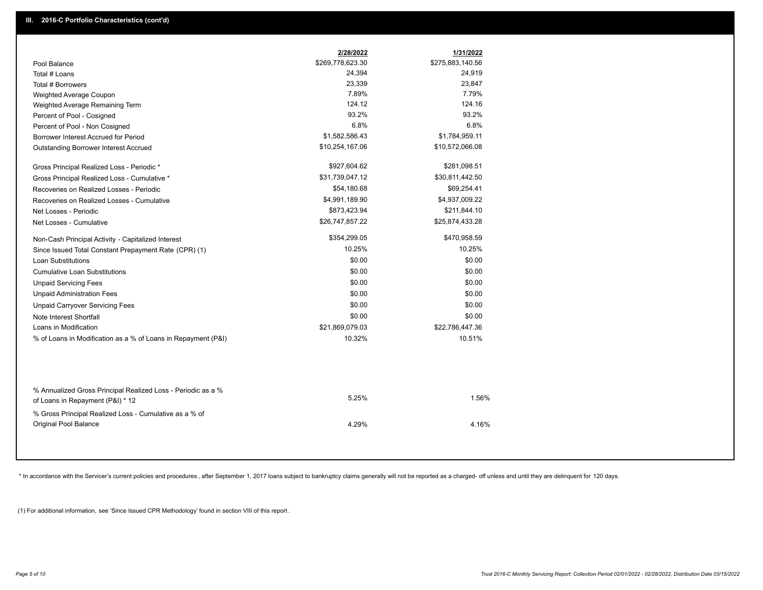|                                                                                                  | 2/28/2022        | 1/31/2022        |
|--------------------------------------------------------------------------------------------------|------------------|------------------|
| Pool Balance                                                                                     | \$269,778,623.30 | \$275,883,140.56 |
| Total # Loans                                                                                    | 24,394           | 24,919           |
| Total # Borrowers                                                                                | 23,339           | 23,847           |
| Weighted Average Coupon                                                                          | 7.89%            | 7.79%            |
| Weighted Average Remaining Term                                                                  | 124.12           | 124.16           |
| Percent of Pool - Cosigned                                                                       | 93.2%            | 93.2%            |
| Percent of Pool - Non Cosigned                                                                   | 6.8%             | 6.8%             |
| Borrower Interest Accrued for Period                                                             | \$1,582,586.43   | \$1,784,959.11   |
| Outstanding Borrower Interest Accrued                                                            | \$10,254,167.06  | \$10,572,066.08  |
| Gross Principal Realized Loss - Periodic *                                                       | \$927,604.62     | \$281,098.51     |
| Gross Principal Realized Loss - Cumulative *                                                     | \$31,739,047.12  | \$30,811,442.50  |
| Recoveries on Realized Losses - Periodic                                                         | \$54,180.68      | \$69,254.41      |
| Recoveries on Realized Losses - Cumulative                                                       | \$4,991,189.90   | \$4,937,009.22   |
| Net Losses - Periodic                                                                            | \$873,423.94     | \$211,844.10     |
| Net Losses - Cumulative                                                                          | \$26,747,857.22  | \$25,874,433.28  |
| Non-Cash Principal Activity - Capitalized Interest                                               | \$354,299.05     | \$470,958.59     |
| Since Issued Total Constant Prepayment Rate (CPR) (1)                                            | 10.25%           | 10.25%           |
| <b>Loan Substitutions</b>                                                                        | \$0.00           | \$0.00           |
| <b>Cumulative Loan Substitutions</b>                                                             | \$0.00           | \$0.00           |
| <b>Unpaid Servicing Fees</b>                                                                     | \$0.00           | \$0.00           |
| <b>Unpaid Administration Fees</b>                                                                | \$0.00           | \$0.00           |
| <b>Unpaid Carryover Servicing Fees</b>                                                           | \$0.00           | \$0.00           |
| Note Interest Shortfall                                                                          | \$0.00           | \$0.00           |
| Loans in Modification                                                                            | \$21,869,079.03  | \$22,786,447.36  |
| % of Loans in Modification as a % of Loans in Repayment (P&I)                                    | 10.32%           | 10.51%           |
|                                                                                                  |                  |                  |
| % Annualized Gross Principal Realized Loss - Periodic as a %<br>of Loans in Repayment (P&I) * 12 | 5.25%            | 1.56%            |
| % Gross Principal Realized Loss - Cumulative as a % of                                           |                  |                  |
| Original Pool Balance                                                                            | 4.29%            | 4.16%            |
|                                                                                                  |                  |                  |

\* In accordance with the Servicer's current policies and procedures, after September 1, 2017 loans subject to bankruptcy claims generally will not be reported as a charged- off unless and until they are delinquent for 120

(1) For additional information, see 'Since Issued CPR Methodology' found in section VIII of this report .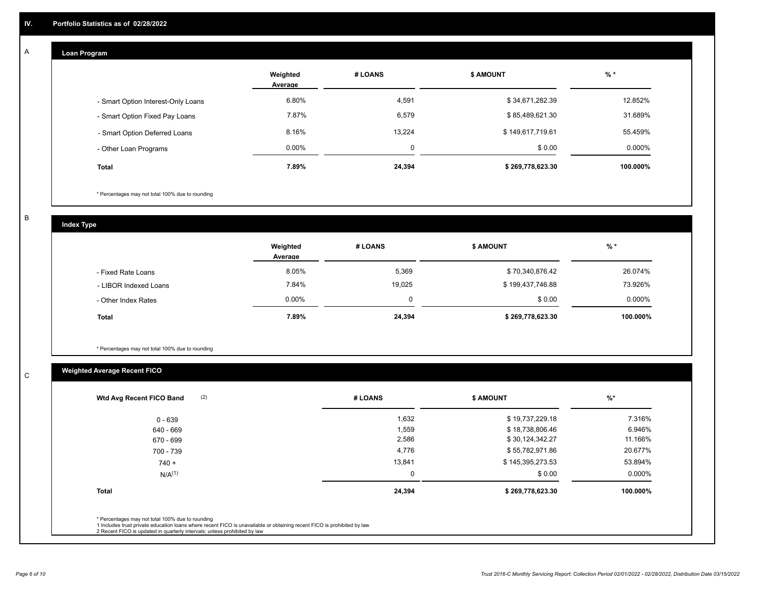#### **Loan Program**  A

|                                    | Weighted<br>Average | # LOANS  | <b>\$ AMOUNT</b> | $%$ *     |
|------------------------------------|---------------------|----------|------------------|-----------|
| - Smart Option Interest-Only Loans | 6.80%               | 4,591    | \$34,671,282.39  | 12.852%   |
| - Smart Option Fixed Pay Loans     | 7.87%               | 6,579    | \$85,489,621.30  | 31.689%   |
| - Smart Option Deferred Loans      | 8.16%               | 13.224   | \$149,617,719.61 | 55.459%   |
| - Other Loan Programs              | $0.00\%$            | $\Omega$ | \$0.00           | $0.000\%$ |
| <b>Total</b>                       | 7.89%               | 24,394   | \$269,778,623.30 | 100.000%  |

\* Percentages may not total 100% due to rounding

B

C

**Index Type**

|                       | Weighted<br>Average | # LOANS | <b>\$ AMOUNT</b> | % *       |
|-----------------------|---------------------|---------|------------------|-----------|
| - Fixed Rate Loans    | 8.05%               | 5,369   | \$70,340,876.42  | 26.074%   |
| - LIBOR Indexed Loans | 7.84%               | 19,025  | \$199,437,746.88 | 73.926%   |
| - Other Index Rates   | $0.00\%$            |         | \$0.00           | $0.000\%$ |
| <b>Total</b>          | 7.89%               | 24,394  | \$269,778,623.30 | 100.000%  |

\* Percentages may not total 100% due to rounding

# **Weighted Average Recent FICO**

| 1,632<br>1,559<br>2,586<br>4,776 | \$19,737,229.18<br>\$18,738,806.46<br>\$30,124,342.27 | 7.316%<br>6.946%<br>11.166% |
|----------------------------------|-------------------------------------------------------|-----------------------------|
|                                  |                                                       |                             |
|                                  |                                                       |                             |
|                                  |                                                       |                             |
|                                  | \$55,782,971.86                                       | 20.677%                     |
| 13,841                           | \$145,395,273.53                                      | 53.894%                     |
| 0                                | \$0.00                                                | 0.000%                      |
| 24,394                           | \$269,778,623.30                                      | 100.000%                    |
|                                  |                                                       |                             |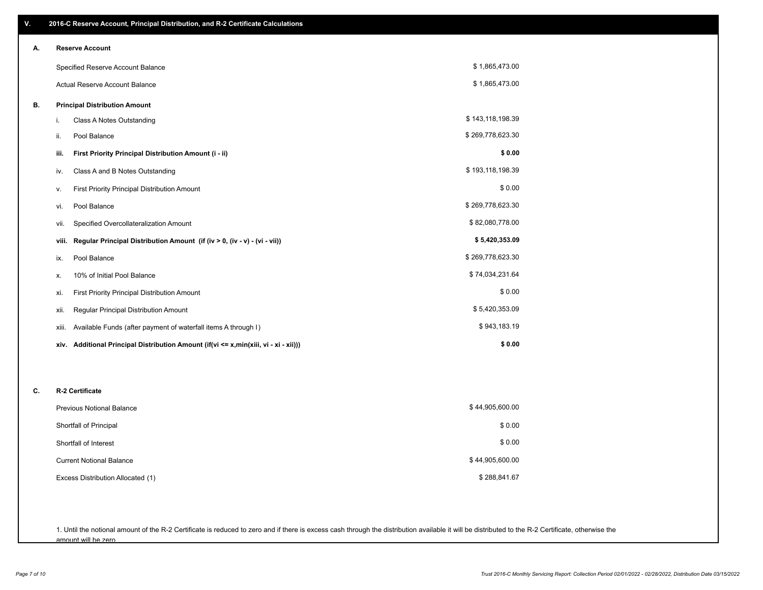| ٧. | 2016-C Reserve Account, Principal Distribution, and R-2 Certificate Calculations     |                  |  |  |  |  |
|----|--------------------------------------------------------------------------------------|------------------|--|--|--|--|
| А. | <b>Reserve Account</b>                                                               |                  |  |  |  |  |
|    | Specified Reserve Account Balance                                                    | \$1,865,473.00   |  |  |  |  |
|    | Actual Reserve Account Balance                                                       | \$1,865,473.00   |  |  |  |  |
| В. | <b>Principal Distribution Amount</b>                                                 |                  |  |  |  |  |
|    | Class A Notes Outstanding<br>i.                                                      | \$143,118,198.39 |  |  |  |  |
|    | Pool Balance<br>ii.                                                                  | \$269,778,623.30 |  |  |  |  |
|    | First Priority Principal Distribution Amount (i - ii)<br>iii.                        | \$0.00           |  |  |  |  |
|    | Class A and B Notes Outstanding<br>iv.                                               | \$193,118,198.39 |  |  |  |  |
|    | First Priority Principal Distribution Amount<br>v.                                   | \$0.00           |  |  |  |  |
|    | Pool Balance<br>vi.                                                                  | \$269,778,623.30 |  |  |  |  |
|    | Specified Overcollateralization Amount<br>vii.                                       | \$82,080,778.00  |  |  |  |  |
|    | Regular Principal Distribution Amount (if (iv > 0, (iv - v) - (vi - vii))<br>viii.   | \$5,420,353.09   |  |  |  |  |
|    | Pool Balance<br>ix.                                                                  | \$269,778,623.30 |  |  |  |  |
|    | 10% of Initial Pool Balance<br>х.                                                    | \$74,034,231.64  |  |  |  |  |
|    | First Priority Principal Distribution Amount<br>xi.                                  | \$0.00           |  |  |  |  |
|    | Regular Principal Distribution Amount<br>xii.                                        | \$5,420,353.09   |  |  |  |  |
|    | Available Funds (after payment of waterfall items A through I)<br>xiii.              | \$943,183.19     |  |  |  |  |
|    | xiv. Additional Principal Distribution Amount (if(vi <= x,min(xiii, vi - xi - xii))) | \$0.00           |  |  |  |  |
|    |                                                                                      |                  |  |  |  |  |
| C. | R-2 Certificate                                                                      |                  |  |  |  |  |
|    | <b>Previous Notional Balance</b>                                                     | \$44,905,600.00  |  |  |  |  |
|    | Shortfall of Principal                                                               | \$0.00           |  |  |  |  |
|    | Shortfall of Interest                                                                | \$0.00           |  |  |  |  |
|    | <b>Current Notional Balance</b>                                                      | \$44,905,600.00  |  |  |  |  |
|    | Excess Distribution Allocated (1)                                                    | \$288,841.67     |  |  |  |  |
|    |                                                                                      |                  |  |  |  |  |
|    |                                                                                      |                  |  |  |  |  |

1. Until the notional amount of the R-2 Certificate is reduced to zero and if there is excess cash through the distribution available it will be distributed to the R-2 Certificate, otherwise the amount will be zero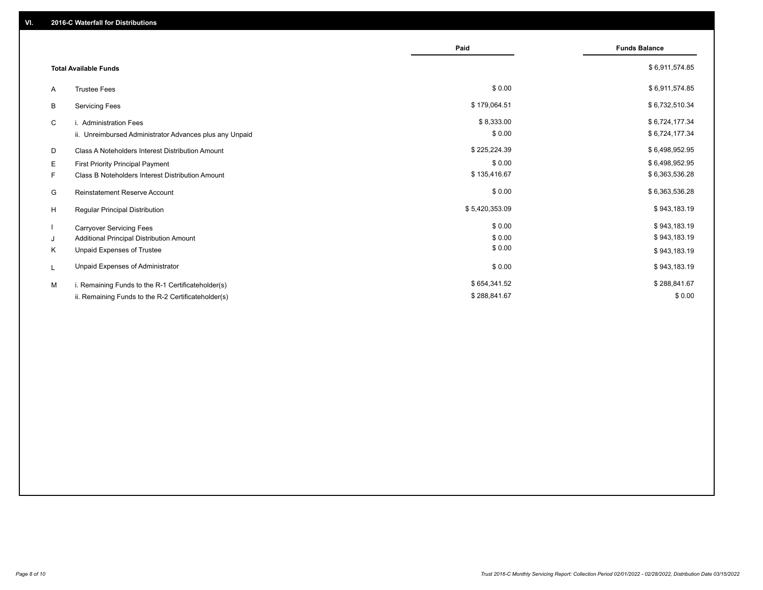|                                                         | Paid           | <b>Funds Balance</b> |
|---------------------------------------------------------|----------------|----------------------|
| <b>Total Available Funds</b>                            |                | \$6,911,574.85       |
| <b>Trustee Fees</b><br>A                                | \$0.00         | \$6,911,574.85       |
| В<br><b>Servicing Fees</b>                              | \$179,064.51   | \$6,732,510.34       |
| C<br>i. Administration Fees                             | \$8,333.00     | \$6,724,177.34       |
| ii. Unreimbursed Administrator Advances plus any Unpaid | \$0.00         | \$6,724,177.34       |
| D<br>Class A Noteholders Interest Distribution Amount   | \$225,224.39   | \$6,498,952.95       |
| Е<br>First Priority Principal Payment                   | \$0.00         | \$6,498,952.95       |
| Class B Noteholders Interest Distribution Amount<br>F.  | \$135,416.67   | \$6,363,536.28       |
| G<br><b>Reinstatement Reserve Account</b>               | \$0.00         | \$6,363,536.28       |
| H<br>Regular Principal Distribution                     | \$5,420,353.09 | \$943,183.19         |
| <b>Carryover Servicing Fees</b>                         | \$0.00         | \$943,183.19         |
| Additional Principal Distribution Amount<br>J           | \$0.00         | \$943,183.19         |
| Κ<br>Unpaid Expenses of Trustee                         | \$0.00         | \$943,183.19         |
| Unpaid Expenses of Administrator<br>L                   | \$0.00         | \$943,183.19         |
| M<br>i. Remaining Funds to the R-1 Certificateholder(s) | \$654,341.52   | \$288,841.67         |
| ii. Remaining Funds to the R-2 Certificateholder(s)     | \$288,841.67   | \$0.00               |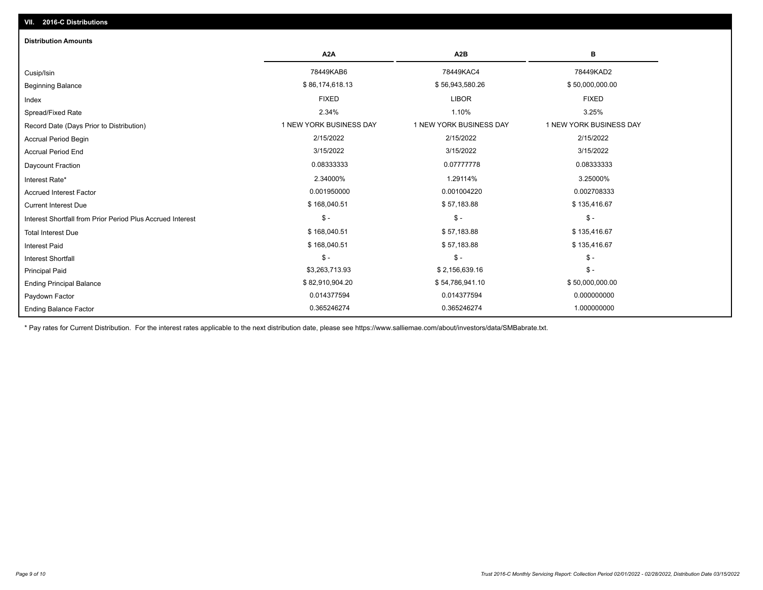# Ending Balance Factor Paydown Factor 0.014377594 0.014377594 0.000000000 Ending Principal Balance \$50,000,000.00 \$82,910,904.20 \$62,910,904.20 \$54,786,941.10 \$50,000,000.00 \$50,000,000 Principal Paid \$3,263,713.93 \$ 2,156,639.16 \$ - \$ - \$ - \$ - Interest Shortfall \$ 168,040.51 \$ 57,183.88 \$ 135,416.67 Interest Paid Total Interest Due \$ 155,416.67 \$ \$ 158,040.51 \$ 57,183.88 \$ 57,183.88 \$ \$ 57,183.88 \$ \$ 135,416.67 \$ - \$ - \$ - Interest Shortfall from Prior Period Plus Accrued Interest Current Interest Due \$ 168,040.51 \$ 57,183.88 \$ 135,416.67 Accrued Interest Factor 0.002708333 0.001950000 0.001050000 0.001004220 0.001004220 0.002708333 Interest Rate\* 2.34000% 1.29114% 3.25000% Daycount Fraction 0.08333333 0.07777778 0.08333333 Accrual Period End 3/15/2022 3/15/2022 3/15/2022 Accrual Period Begin 2/15/2022 2/15/2022 2/15/2022 Record Date (Days Prior to Distribution) **1 NEW YORK BUSINESS DAY** 1 NEW YORK BUSINESS DAY 1 NEW YORK BUSINESS DAY Spread/Fixed Rate 2.34% 1.10% 3.25% Index FIXED LIBOR FIXED Beginning Balance \$ 86,000,000.00 \$ \$6,174,618.13 \$ \$6,943,580.26 \$ \$5,943,580.26 \$ \$50,000,000.00 Cusip/Isin 78449KAB6 78449KAC4 78449KAD2 **A2A A2B B** 0.365246274 0.365246274 1.000000000 **Distribution Amounts**

\* Pay rates for Current Distribution. For the interest rates applicable to the next distribution date, please see https://www.salliemae.com/about/investors/data/SMBabrate.txt.

**VII. 2016-C Distributions**